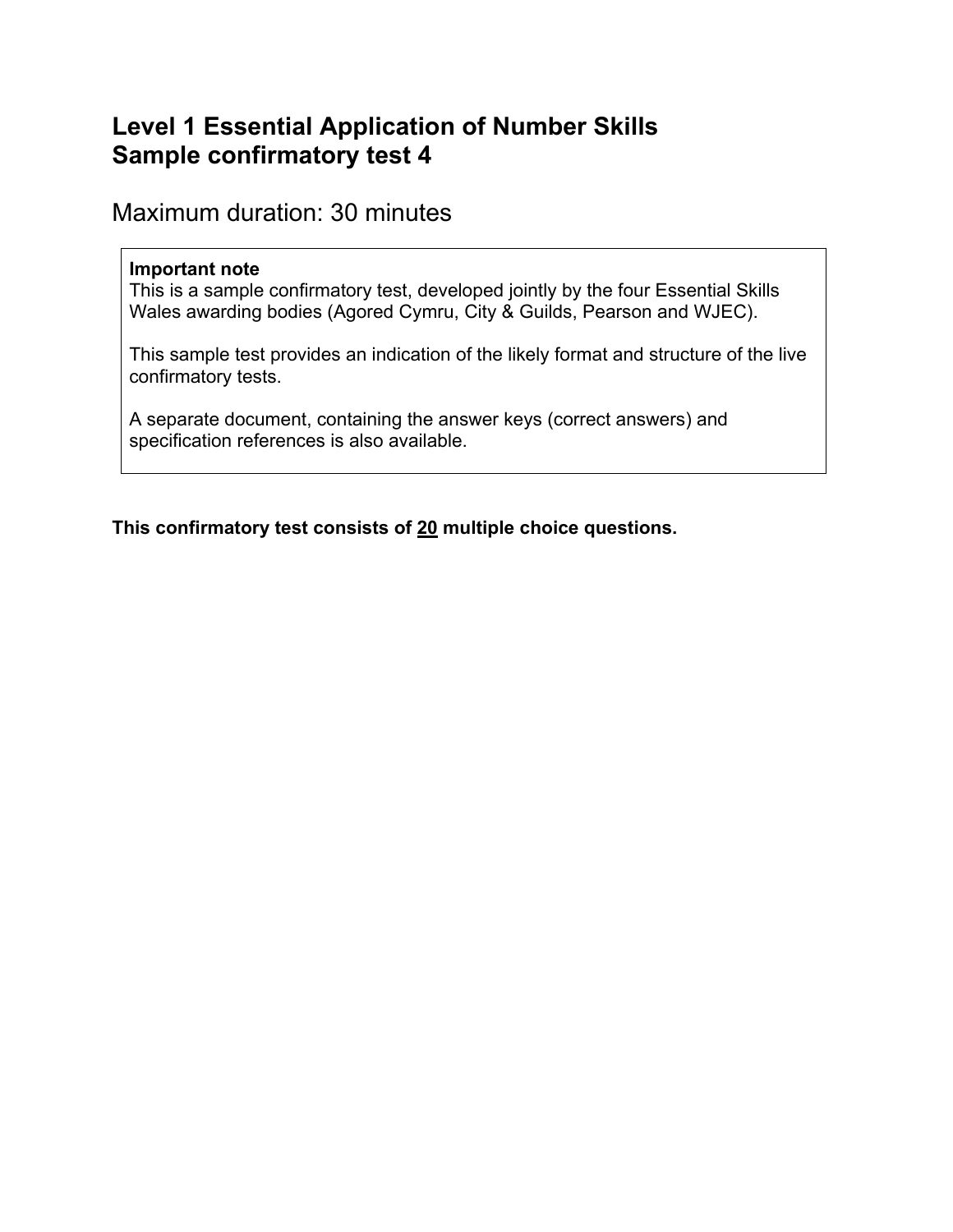# **Level 1 Essential Application of Number Skills Sample confirmatory test 4**

Maximum duration: 30 minutes

#### **Important note**

This is a sample confirmatory test, developed jointly by the four Essential Skills Wales awarding bodies (Agored Cymru, City & Guilds, Pearson and WJEC).

This sample test provides an indication of the likely format and structure of the live confirmatory tests.

A separate document, containing the answer keys (correct answers) and specification references is also available.

**This confirmatory test consists of 20 multiple choice questions.**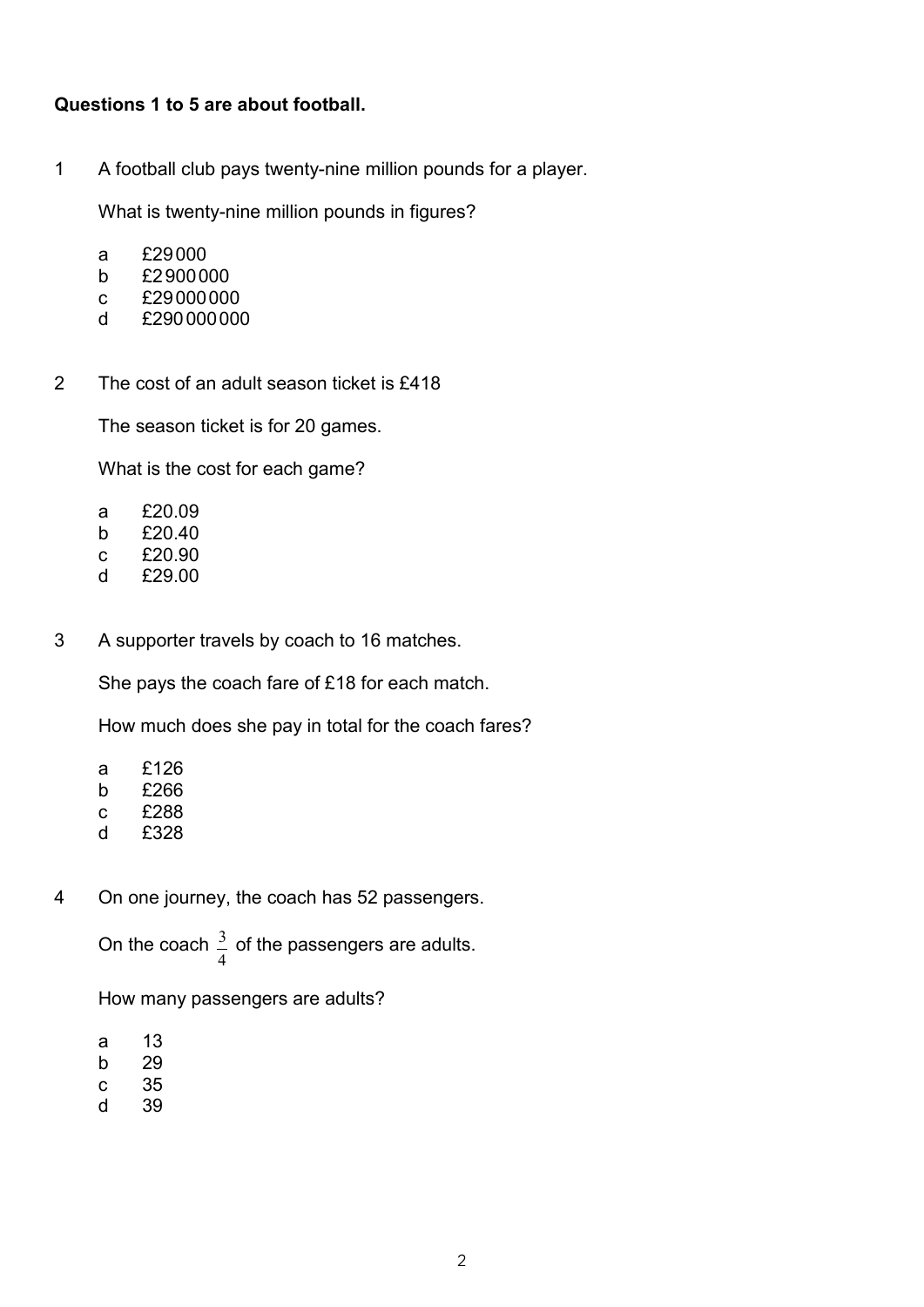#### **Questions 1 to 5 are about football.**

1 A football club pays twenty-nine million pounds for a player.

What is twenty-nine million pounds in figures?

- a £29000
- b £2900000
- c £29000000
- d £290000000
- 2 The cost of an adult season ticket is £418

The season ticket is for 20 games.

What is the cost for each game?

- a £20.09
- b £20.40
- c £20.90
- d £29.00
- 3 A supporter travels by coach to 16 matches.

She pays the coach fare of £18 for each match.

How much does she pay in total for the coach fares?

- a £126
- b £266
- c £288
- d £328
- 4 On one journey, the coach has 52 passengers.

On the coach  $\overline{\mathcal{L}}$  $\frac{3}{2}$  of the passengers are adults.

How many passengers are adults?

- $a$  13
- b 29
- $c$  35
- d 39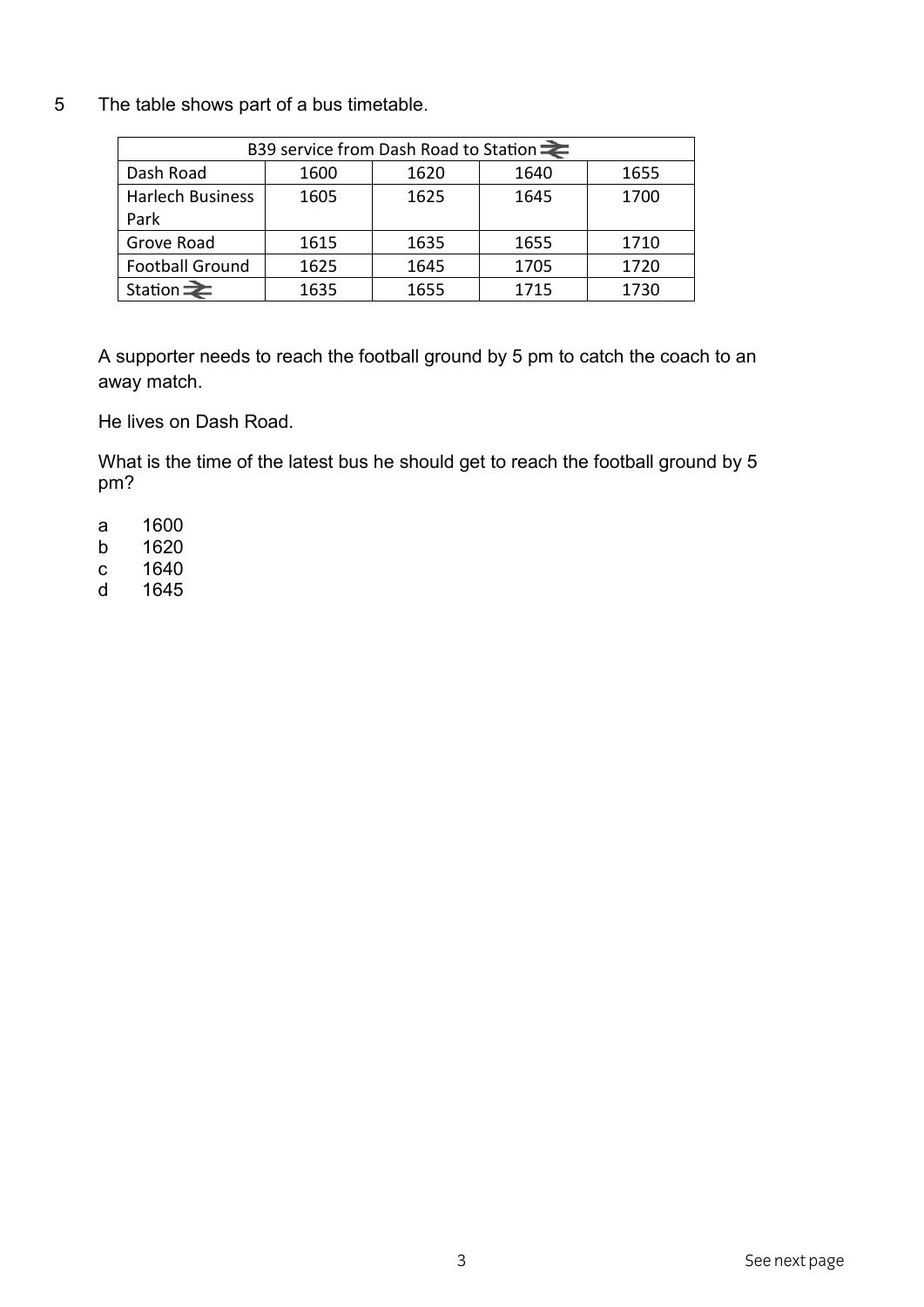5 The table shows part of a bus timetable.

| B39 service from Dash Road to Station $\equiv$ |      |      |      |      |
|------------------------------------------------|------|------|------|------|
| Dash Road                                      | 1600 | 1620 | 1640 | 1655 |
| Harlech Business                               | 1605 | 1625 | 1645 | 1700 |
| Park                                           |      |      |      |      |
| Grove Road                                     | 1615 | 1635 | 1655 | 1710 |
| <b>Football Ground</b>                         | 1625 | 1645 | 1705 | 1720 |
| Station $\geq$                                 | 1635 | 1655 | 1715 | 1730 |

A supporter needs to reach the football ground by 5 pm to catch the coach to an away match.

He lives on Dash Road.

What is the time of the latest bus he should get to reach the football ground by 5 pm?

- a 1600
- b 1620
- c 1640
- d 1645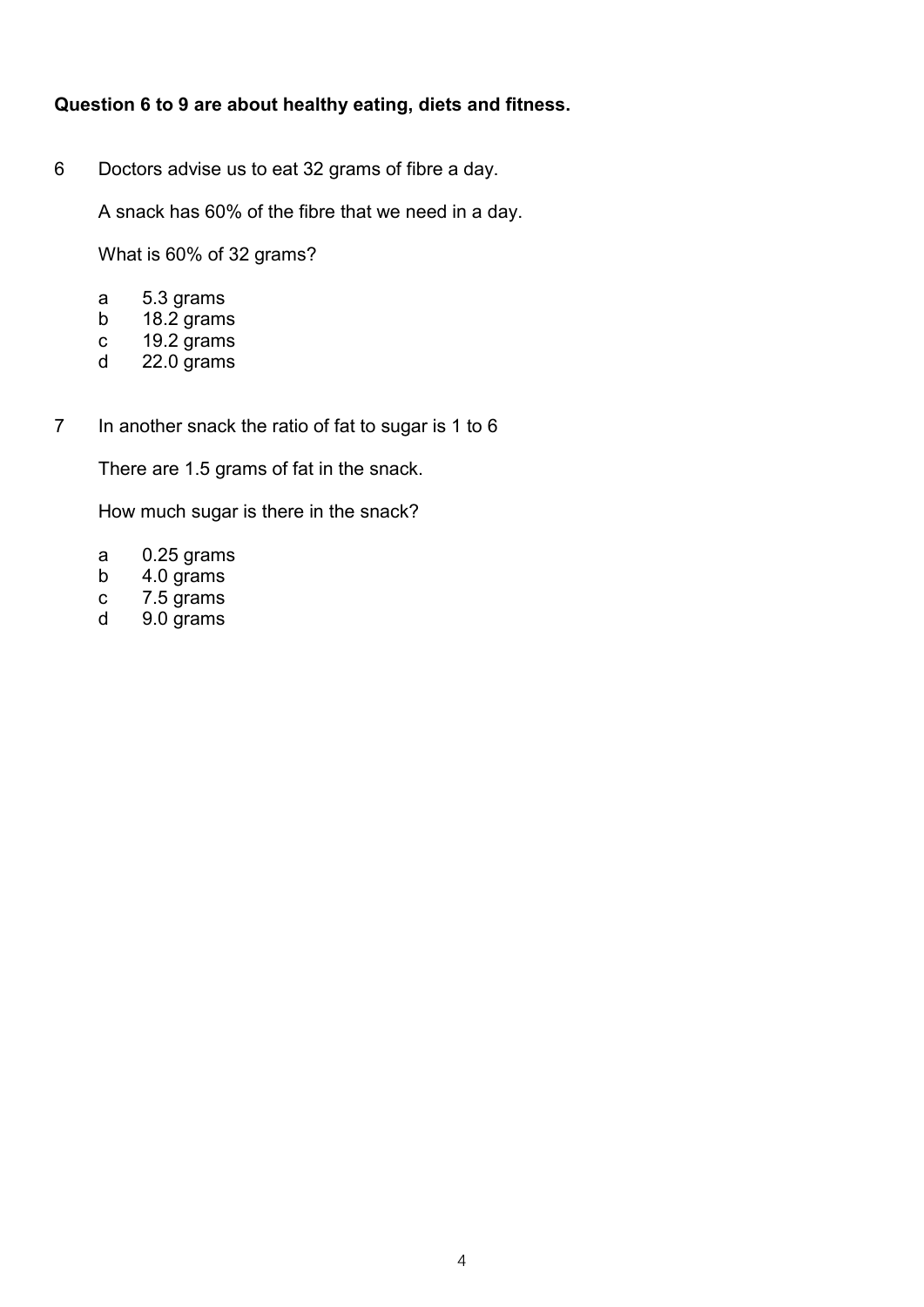# Question 6 to 9 are about healthy eating, diets and fitness.

Doctors advise us to eat 32 grams of fibre a day.  $6\phantom{a}$ 

A snack has 60% of the fibre that we need in a day.

What is 60% of 32 grams?

- 5.3 grams  $\mathsf{a}$
- 18.2 grams  $b$
- 19.2 grams  $\mathbf C$
- 22.0 grams d
- In another snack the ratio of fat to sugar is 1 to 6  $\overline{7}$

There are 1.5 grams of fat in the snack.

How much sugar is there in the snack?

- $\mathsf{a}$  $0.25$  grams
- $b$ 4.0 grams
- 7.5 grams  $\mathbf{C}$
- $\mathsf{d}$ 9.0 grams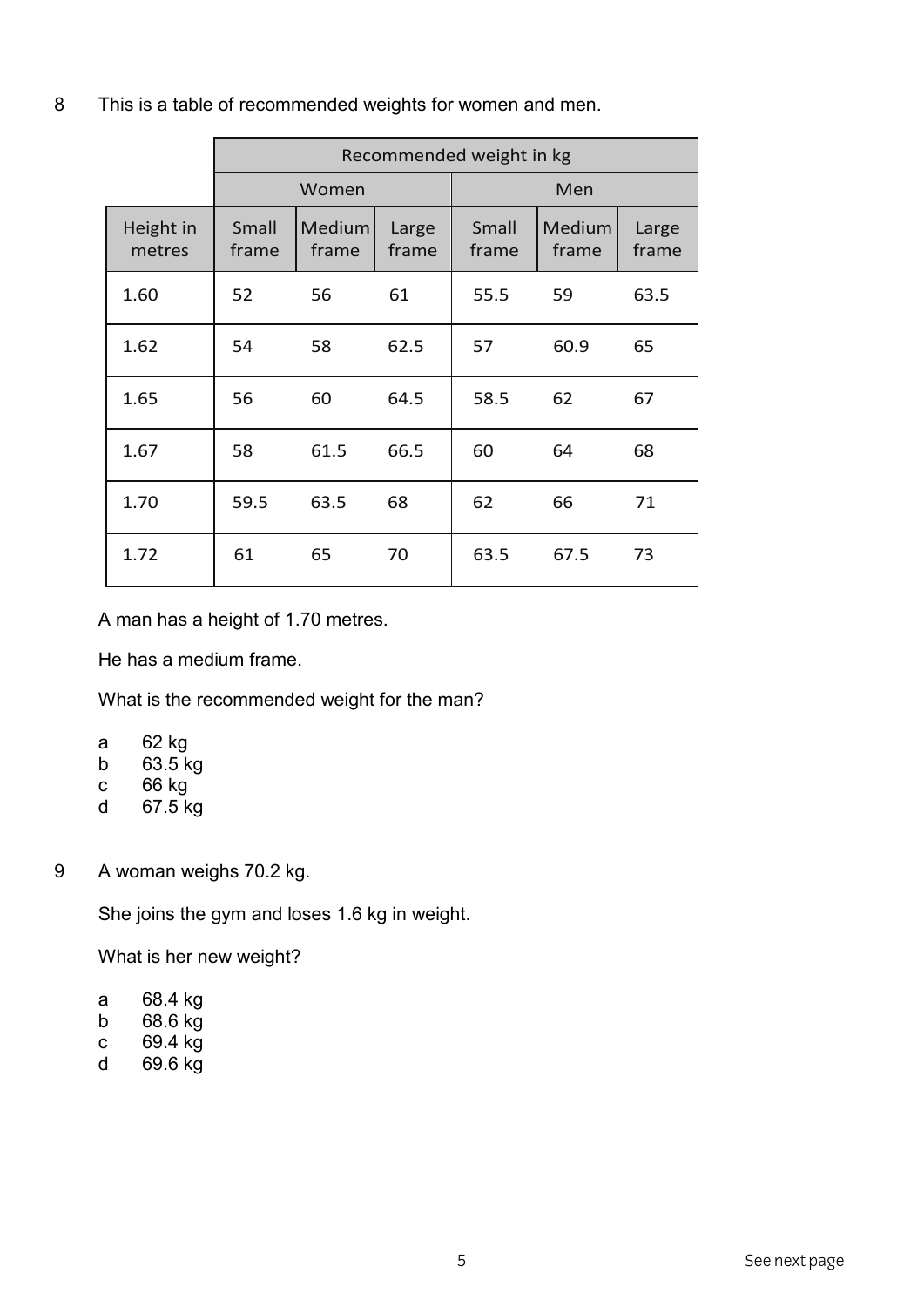|                     | Recommended weight in kg |                 |                |                |                        |                |
|---------------------|--------------------------|-----------------|----------------|----------------|------------------------|----------------|
|                     | Women                    |                 | Men            |                |                        |                |
| Height in<br>metres | Small<br>frame           | Medium<br>frame | Large<br>frame | Small<br>frame | <b>Medium</b><br>frame | Large<br>frame |
| 1.60                | 52                       | 56              | 61             | 55.5           | 59                     | 63.5           |
| 1.62                | 54                       | 58              | 62.5           | 57             | 60.9                   | 65             |
| 1.65                | 56                       | 60              | 64.5           | 58.5           | 62                     | 67             |
| 1.67                | 58                       | 61.5            | 66.5           | 60             | 64                     | 68             |
| 1.70                | 59.5                     | 63.5            | 68             | 62             | 66                     | 71             |
| 1.72                | 61                       | 65              | 70             | 63.5           | 67.5                   | 73             |

8 This is a table of recommended weights for women and men.

A man has a height of 1.70 metres.

He has a medium frame.

What is the recommended weight for the man?

- a 62 kg
- b  $63.5$  kg
- $c$  66 kg
- d 67.5 kg

9 A woman weighs 70.2 kg.

She joins the gym and loses 1.6 kg in weight.

What is her new weight?

- a 68.4 kg
- b 68.6 kg
- c 69.4 kg
- d 69.6 kg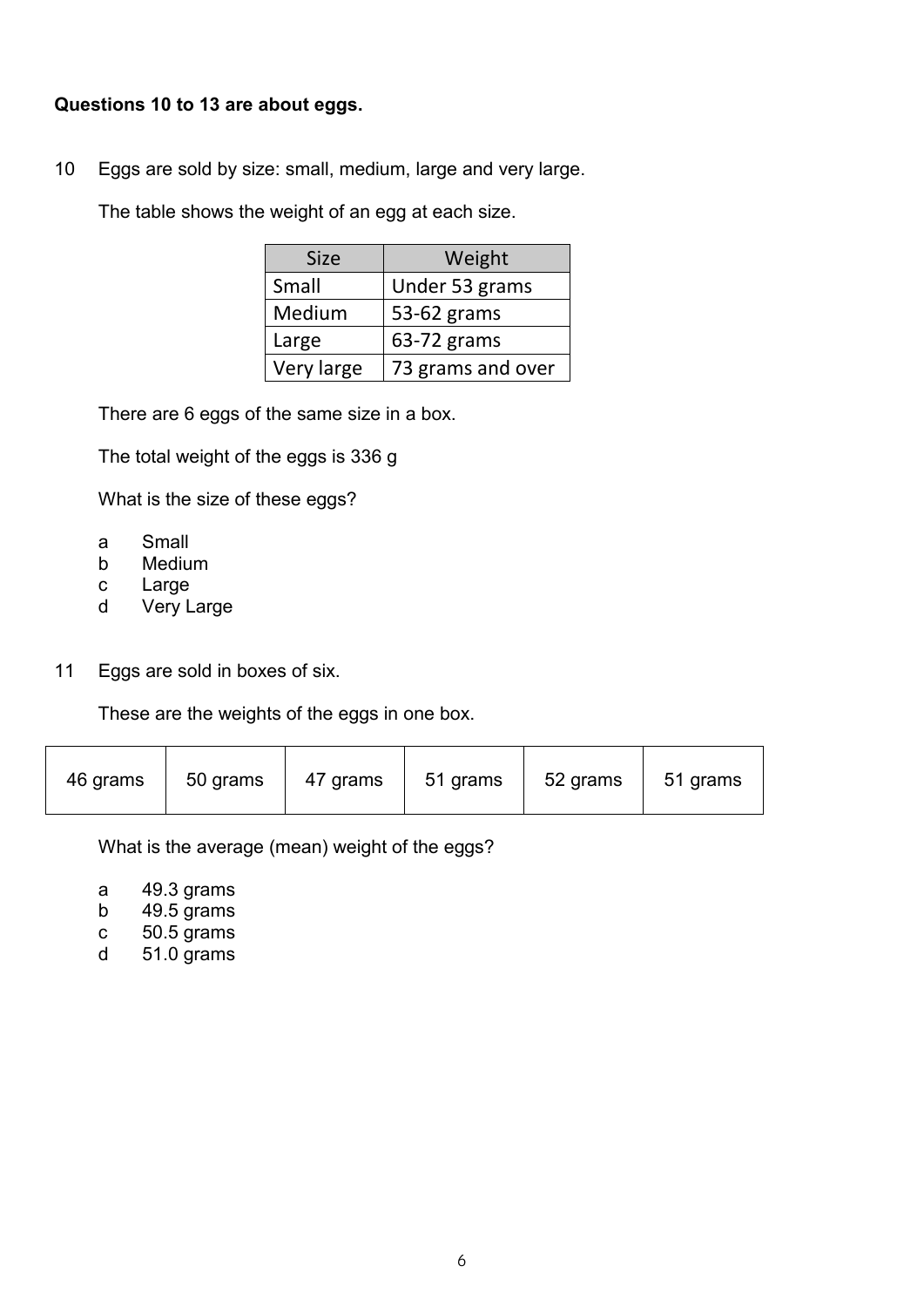#### **Questions 10 to 13 are about eggs.**

10 Eggs are sold by size: small, medium, large and very large.

The table shows the weight of an egg at each size.

| <b>Size</b> | Weight            |  |
|-------------|-------------------|--|
| Small       | Under 53 grams    |  |
| Medium      | 53-62 grams       |  |
| Large       | 63-72 grams       |  |
| Very large  | 73 grams and over |  |

There are 6 eggs of the same size in a box.

The total weight of the eggs is 336 g

What is the size of these eggs?

- a Small
- b Medium
- c Large
- d Very Large
- 11 Eggs are sold in boxes of six.

These are the weights of the eggs in one box.

| 47 grams<br>46 grams<br>50 grams | 51 grams | 52 grams | 51 grams |
|----------------------------------|----------|----------|----------|
|----------------------------------|----------|----------|----------|

What is the average (mean) weight of the eggs?

- a 49.3 grams
- b 49.5 grams
- c 50.5 grams
- d 51.0 grams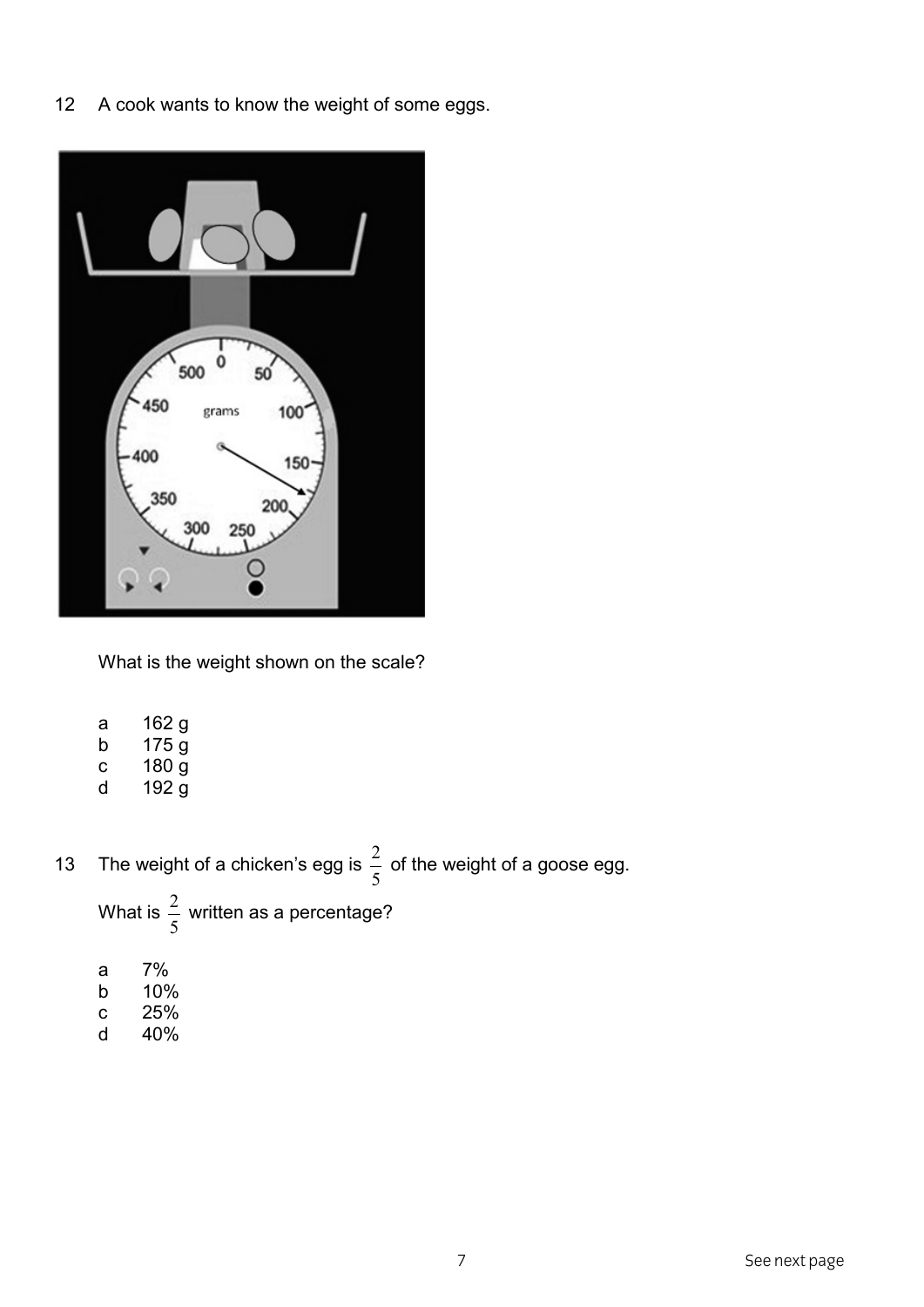A cook wants to know the weight of some eggs.  $12$ 



What is the weight shown on the scale?

- 162 g  $\mathsf{a}$
- $175<sub>g</sub>$  $\mathsf b$
- $180<sub>g</sub>$  $\mathbf{C}$
- $\sf d$  $192<sub>g</sub>$
- The weight of a chicken's egg is  $\frac{2}{5}$  of the weight of a goose egg. 13

What is  $\frac{2}{5}$  written as a percentage?

- $7\%$  $\mathsf a$
- $\mathsf b$ 10%
- $\mathbf{c}$ 25%
- $\mathsf d$ 40%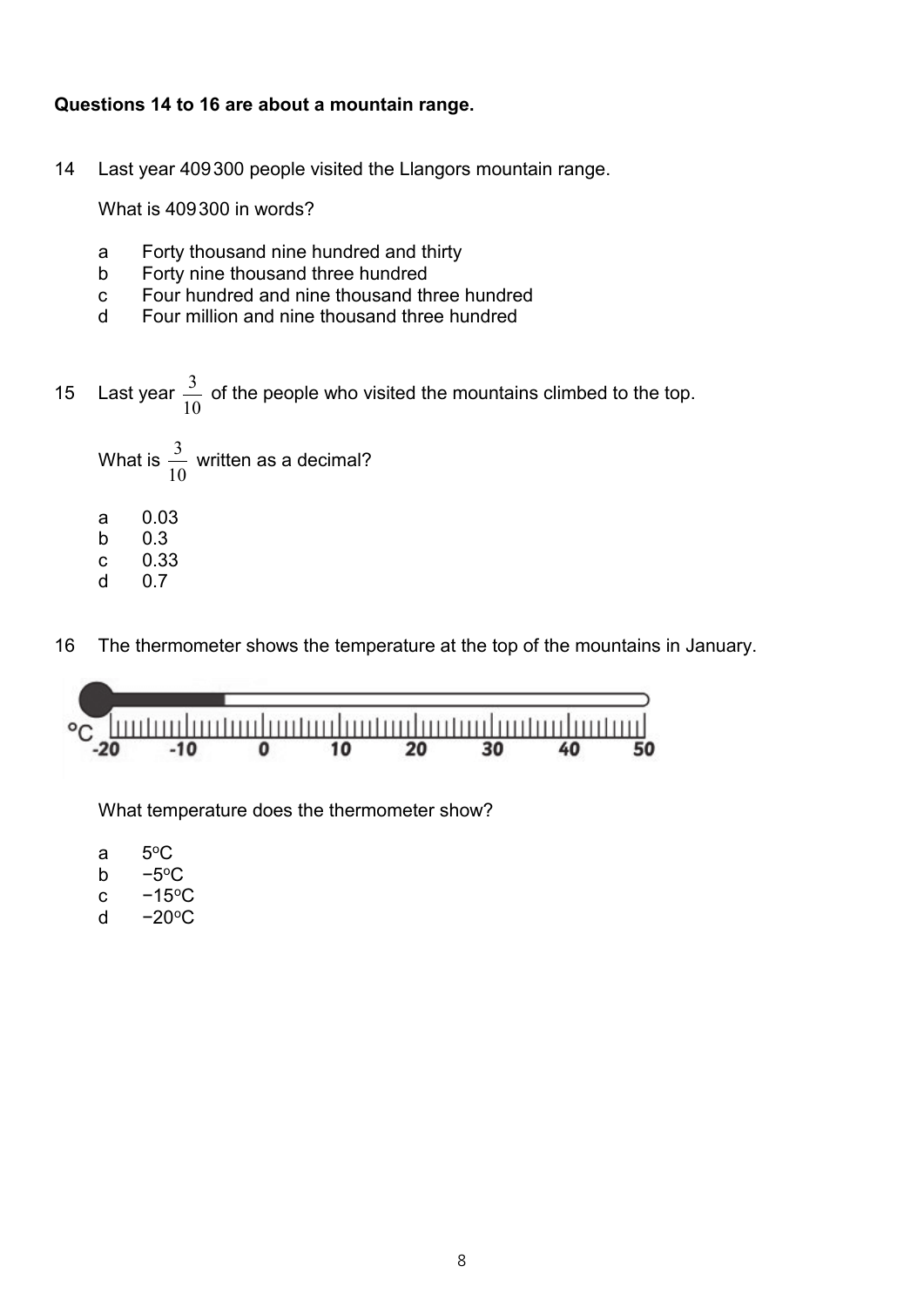#### **Questions 14 to 16 are about a mountain range.**

14 Last year 409300 people visited the Llangors mountain range.

What is 409300 in words?

- a Forty thousand nine hundred and thirty
- b Forty nine thousand three hundred
- c Four hundred and nine thousand three hundred
- d Four million and nine thousand three hundred
- 15 Last year  $\frac{3}{10}$  of the people who visited the mountains climbed to the top.

What is 
$$
\frac{3}{10}
$$
 written as a decimal?  
\na 0.03  
\nb 0.3  
\nc 0.33  
\nd 0.7

16 The thermometer shows the temperature at the top of the mountains in January.



What temperature does the thermometer show?

| а | $5^{\circ}$ C |
|---|---------------|
|   | -<br>--       |

- b  $-5^{\circ}$ C
- c  $-15^{\circ}$ C
- d  $-20^{\circ}$ C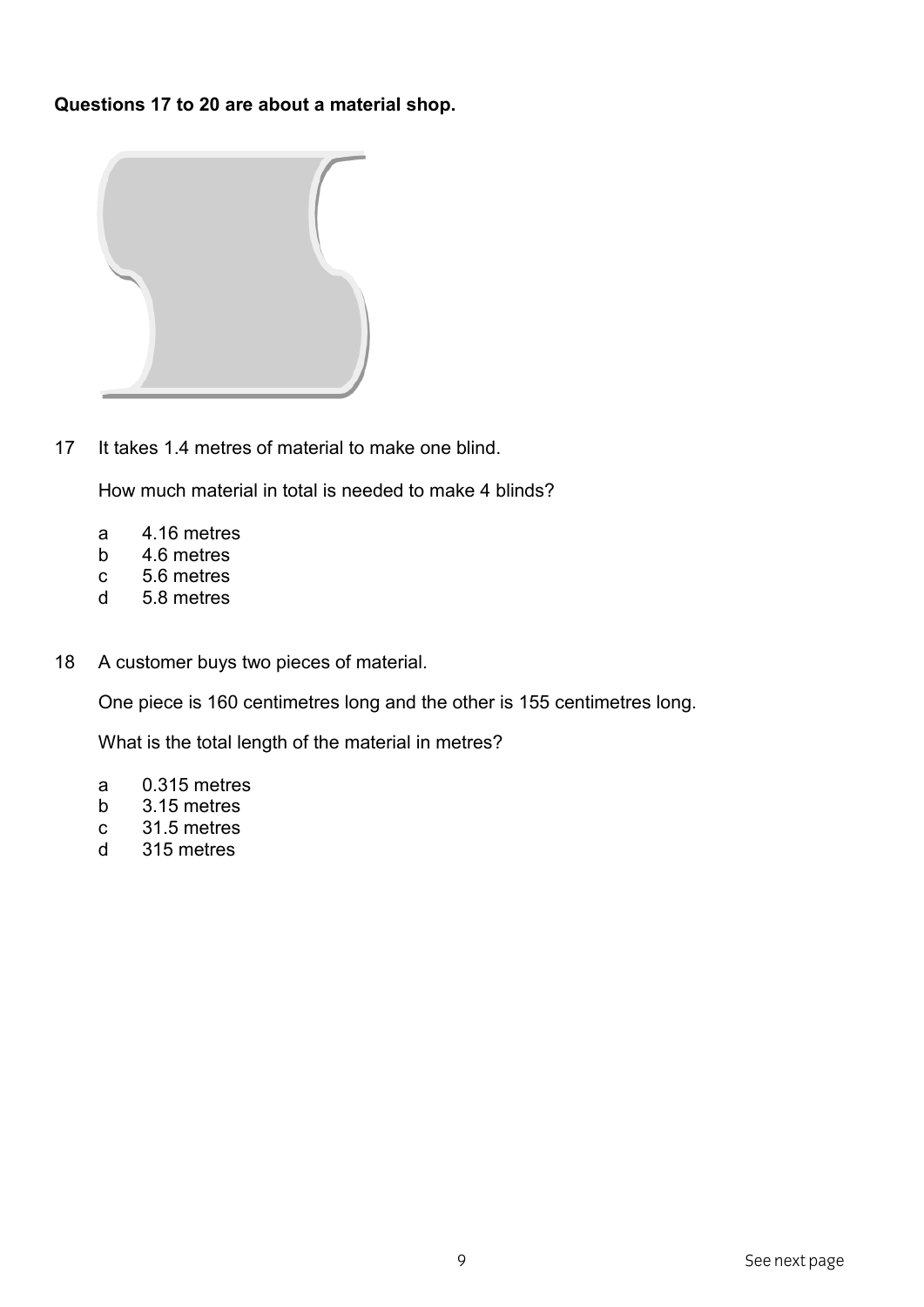Questions 17 to 20 are about a material shop.



It takes 1.4 metres of material to make one blind.  $17$ 

How much material in total is needed to make 4 blinds?

- 4.16 metres  $\mathsf{a}$
- $b$ 4.6 metres
- $\mathbf{C}$ 5.6 metres
- 5.8 metres  $\mathsf{d}$
- A customer buys two pieces of material. 18

One piece is 160 centimetres long and the other is 155 centimetres long.

What is the total length of the material in metres?

- 0.315 metres a
- $b$ 3.15 metres
- 31.5 metres  $\mathbf{C}$
- 315 metres  $\mathsf{d}$